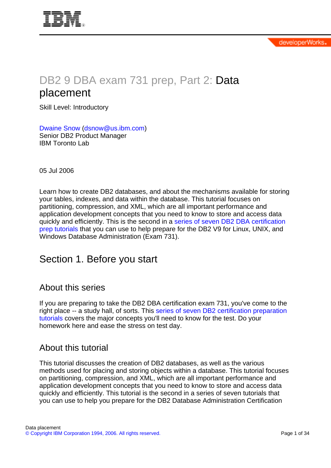# DB2 9 DBA exam 731 prep, Part 2: Data placement

Skill Level: Introductory

#### [Dwaine Snow](#page-32-0) ([dsnow@us.ibm.com\)](mailto:dsnow@us.ibm.com) Senior DB2 Product Manager IBM Toronto Lab

05 Jul 2006

Learn how to create DB2 databases, and about the mechanisms available for storing your tables, indexes, and data within the database. This tutorial focuses on partitioning, compression, and XML, which are all important performance and application development concepts that you need to know to store and access data quickly and efficiently. This is the second in a [series of seven DB2 DBA certification](http://www.ibm.com/developerworks/offers/lp/db2cert/db2-cert731.html?S_TACT=105AGX19&S_CMP=db2cert) [prep tutorials](http://www.ibm.com/developerworks/offers/lp/db2cert/db2-cert731.html?S_TACT=105AGX19&S_CMP=db2cert) that you can use to help prepare for the DB2 V9 for Linux, UNIX, and Windows Database Administration (Exam 731).

# Section 1. Before you start

### About this series

If you are preparing to take the DB2 DBA certification exam 731, you've come to the right place -- a study hall, of sorts. This [series of seven DB2 certification preparation](http://www.ibm.com/developerworks/offers/lp/db2cert/db2-cert731.html?S_TACT=105AGX19&S_CMP=db2cert) [tutorials](http://www.ibm.com/developerworks/offers/lp/db2cert/db2-cert731.html?S_TACT=105AGX19&S_CMP=db2cert) covers the major concepts you'll need to know for the test. Do your homework here and ease the stress on test day.

### About this tutorial

This tutorial discusses the creation of DB2 databases, as well as the various methods used for placing and storing objects within a database. This tutorial focuses on partitioning, compression, and XML, which are all important performance and application development concepts that you need to know to store and access data quickly and efficiently. This tutorial is the second in a series of seven tutorials that you can use to help you prepare for the DB2 Database Administration Certification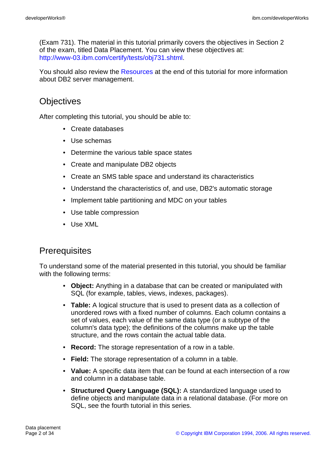(Exam 731). The material in this tutorial primarily covers the objectives in Section 2 of the exam, titled Data Placement. You can view these objectives at: <http://www-03.ibm.com/certify/tests/obj731.shtml>.

You should also review the [Resources](#page-32-1) at the end of this tutorial for more information about DB2 server management.

# **Objectives**

After completing this tutorial, you should be able to:

- Create databases
- Use schemas
- Determine the various table space states
- Create and manipulate DB2 objects
- Create an SMS table space and understand its characteristics
- Understand the characteristics of, and use, DB2's automatic storage
- Implement table partitioning and MDC on your tables
- Use table compression
- Use XML

# **Prerequisites**

To understand some of the material presented in this tutorial, you should be familiar with the following terms:

- **Object:** Anything in a database that can be created or manipulated with SQL (for example, tables, views, indexes, packages).
- **Table:** A logical structure that is used to present data as a collection of unordered rows with a fixed number of columns. Each column contains a set of values, each value of the same data type (or a subtype of the column's data type); the definitions of the columns make up the table structure, and the rows contain the actual table data.
- **Record:** The storage representation of a row in a table.
- **Field:** The storage representation of a column in a table.
- **Value:** A specific data item that can be found at each intersection of a row and column in a database table.
- **Structured Query Language (SQL):** A standardized language used to define objects and manipulate data in a relational database. (For more on SQL, see the fourth tutorial in this series.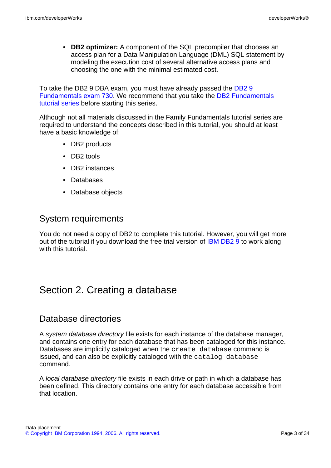• **DB2 optimizer:** A component of the SQL precompiler that chooses an access plan for a Data Manipulation Language (DML) SQL statement by modeling the execution cost of several alternative access plans and choosing the one with the minimal estimated cost.

To take the DB2 9 DBA exam, you must have already passed the [DB2 9](http://www-03.ibm.com/certify/tests/test_index.shtml) [Fundamentals exam 730.](http://www-03.ibm.com/certify/tests/test_index.shtml) We recommend that you take the [DB2 Fundamentals](http://www.ibm.com/developerworks/offers/lp/db2cert/db2-cert730.html?S_TACT=105AGX19&S_CMP=db2cert) [tutorial series](http://www.ibm.com/developerworks/offers/lp/db2cert/db2-cert730.html?S_TACT=105AGX19&S_CMP=db2cert) before starting this series.

Although not all materials discussed in the Family Fundamentals tutorial series are required to understand the concepts described in this tutorial, you should at least have a basic knowledge of:

- DB2 products
- DB<sub>2</sub> tools
- DB2 instances
- Databases
- Database objects

### System requirements

You do not need a copy of DB2 to complete this tutorial. However, you will get more out of the tutorial if you download the free trial version of [IBM DB2 9](http://www.ibm.com/developerworks/downloads/im/udb/?S_TACT=105AGX19&S_CMP=db2cert) to work along with this tutorial.

# Section 2. Creating a database

# Database directories

A system database directory file exists for each instance of the database manager, and contains one entry for each database that has been cataloged for this instance. Databases are implicitly cataloged when the create database command is issued, and can also be explicitly cataloged with the catalog database command.

A local database directory file exists in each drive or path in which a database has been defined. This directory contains one entry for each database accessible from that location.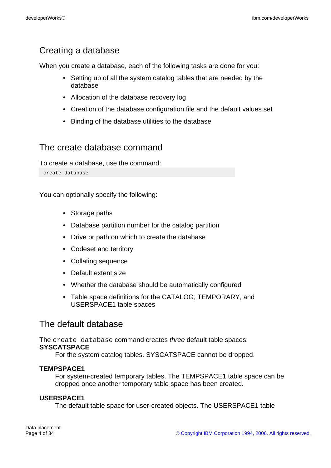# Creating a database

When you create a database, each of the following tasks are done for you:

- Setting up of all the system catalog tables that are needed by the database
- Allocation of the database recovery log
- Creation of the database configuration file and the default values set
- Binding of the database utilities to the database

# The create database command

To create a database, use the command:

create database

You can optionally specify the following:

- Storage paths
- Database partition number for the catalog partition
- Drive or path on which to create the database
- Codeset and territory
- Collating sequence
- Default extent size
- Whether the database should be automatically configured
- Table space definitions for the CATALOG, TEMPORARY, and USERSPACE1 table spaces

# The default database

The create database command creates three default table spaces:

#### **SYSCATSPACE**

For the system catalog tables. SYSCATSPACE cannot be dropped.

#### **TEMPSPACE1**

For system-created temporary tables. The TEMPSPACE1 table space can be dropped once another temporary table space has been created.

#### **USERSPACE1**

The default table space for user-created objects. The USERSPACE1 table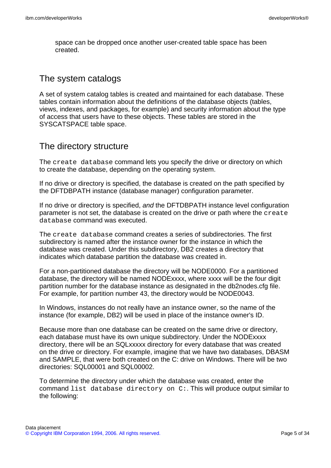space can be dropped once another user-created table space has been created.

## The system catalogs

A set of system catalog tables is created and maintained for each database. These tables contain information about the definitions of the database objects (tables, views, indexes, and packages, for example) and security information about the type of access that users have to these objects. These tables are stored in the SYSCATSPACE table space.

# The directory structure

The create database command lets you specify the drive or directory on which to create the database, depending on the operating system.

If no drive or directory is specified, the database is created on the path specified by the DFTDBPATH instance (database manager) configuration parameter.

If no drive or directory is specified, and the DFTDBPATH instance level configuration parameter is not set, the database is created on the drive or path where the create database command was executed.

The create database command creates a series of subdirectories. The first subdirectory is named after the instance owner for the instance in which the database was created. Under this subdirectory, DB2 creates a directory that indicates which database partition the database was created in.

For a non-partitioned database the directory will be NODE0000. For a partitioned database, the directory will be named NODExxxx, where xxxx will be the four digit partition number for the database instance as designated in the db2nodes.cfg file. For example, for partition number 43, the directory would be NODE0043.

In Windows, instances do not really have an instance owner, so the name of the instance (for example, DB2) will be used in place of the instance owner's ID.

Because more than one database can be created on the same drive or directory, each database must have its own unique subdirectory. Under the NODExxxx directory, there will be an SQLxxxxx directory for every database that was created on the drive or directory. For example, imagine that we have two databases, DBASM and SAMPLE, that were both created on the C: drive on Windows. There will be two directories: SQL00001 and SQL00002.

To determine the directory under which the database was created, enter the command list database directory on C:. This will produce output similar to the following: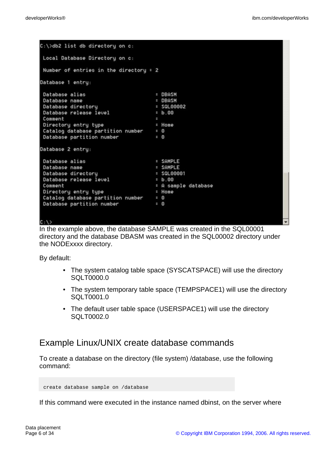| C:\>db2 list db directory on c:                                           |                     |  |
|---------------------------------------------------------------------------|---------------------|--|
| Local Database Directory on c:                                            |                     |  |
| Number of entries in the directory $= 2$                                  |                     |  |
| Database 1 entry:                                                         |                     |  |
| Database alias                                                            | = DBASM             |  |
| Database name                                                             | = DBASM             |  |
| Database directory                                                        | $=$ SQL00002        |  |
| Database release level                                                    | $= b.00$            |  |
| Comment                                                                   |                     |  |
| Directory entry type                                                      | = Home              |  |
| Catalog database partition number                                         | $= 0$               |  |
| Database partition number                                                 | $= 0$               |  |
| Database 2 entry:                                                         |                     |  |
| Database alias                                                            | = SAMPLE            |  |
| Database name                                                             | : SAMPLE            |  |
| Database directory                                                        | $=$ SQL00001        |  |
| Database release level                                                    | $= b.00$            |  |
| Comment                                                                   | : A sample database |  |
| Directory entry type                                                      | = Home              |  |
| Catalog database partition number                                         | $= 0$               |  |
| Database partition number                                                 | $= 0$               |  |
|                                                                           |                     |  |
|                                                                           |                     |  |
| $C: \setminus >$                                                          |                     |  |
| In the example above the detaboge $CAMDI$ E was exacted in the $COL00004$ |                     |  |

In the example above, the database SAMPLE was created in the SQL00001 directory and the database DBASM was created in the SQL00002 directory under the NODExxxx directory.

By default:

- The system catalog table space (SYSCATSPACE) will use the directory SQLT0000.0
- The system temporary table space (TEMPSPACE1) will use the directory SQLT0001.0
- The default user table space (USERSPACE1) will use the directory SQLT0002.0

# Example Linux/UNIX create database commands

To create a database on the directory (file system) /database, use the following command:

create database sample on /database

If this command were executed in the instance named dbinst, on the server where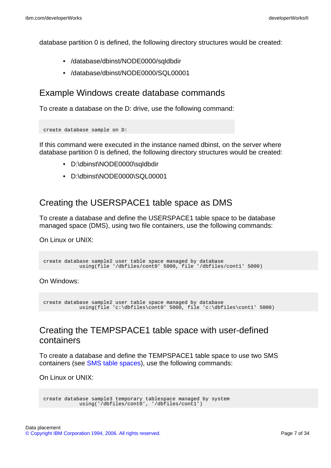database partition 0 is defined, the following directory structures would be created:

- /database/dbinst/NODE0000/sqldbdir
- /database/dbinst/NODE0000/SQL00001

# Example Windows create database commands

To create a database on the D: drive, use the following command:

```
create database sample on D:
```
If this command were executed in the instance named dbinst, on the server where database partition 0 is defined, the following directory structures would be created:

- D:\dbinst\NODE0000\sqldbdir
- D:\dbinst\NODE0000\SQL00001

# Creating the USERSPACE1 table space as DMS

To create a database and define the USERSPACE1 table space to be database managed space (DMS), using two file containers, use the following commands:

On Linux or UNIX:

```
create database sample2 user table space managed by database
            using(file '/dbfiles/cont0' 5000, file '/dbfiles/cont1' 5000)
```
On Windows:

```
create database sample2 user table space managed by database
            using(file 'c:\dbfiles\cont0' 5000, file 'c:\dbfiles\cont1' 5000)
```
# Creating the TEMPSPACE1 table space with user-defined containers

To create a database and define the TEMPSPACE1 table space to use two SMS containers (see [SMS table spaces\)](#page-21-0), use the following commands:

On Linux or UNIX:

```
create database sample3 temporary tablespace managed by system
            using('/dbfiles/cont0', '/dbfiles/cont1')
```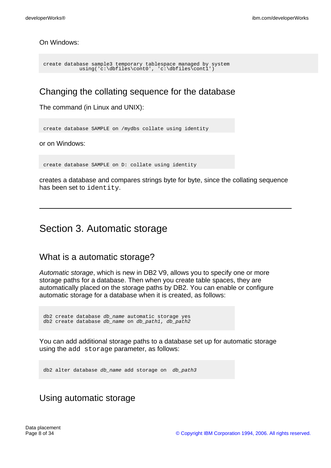On Windows:

```
create database sample3 temporary tablespace managed by system
           using('c:\dbfiles\cont0', 'c:\dbfiles\cont1')
```
Changing the collating sequence for the database

The command (in Linux and UNIX):

create database SAMPLE on /mydbs collate using identity

or on Windows:

create database SAMPLE on D: collate using identity

creates a database and compares strings byte for byte, since the collating sequence has been set to identity.

# Section 3. Automatic storage

### What is a automatic storage?

Automatic storage, which is new in DB2 V9, allows you to specify one or more storage paths for a database. Then when you create table spaces, they are automatically placed on the storage paths by DB2. You can enable or configure automatic storage for a database when it is created, as follows:

```
db2 create database db_name automatic storage yes
db2 create database db_name on db_path1, db_path2
```
You can add additional storage paths to a database set up for automatic storage using the add storage parameter, as follows:

db2 alter database db\_name add storage on db\_path3

# Using automatic storage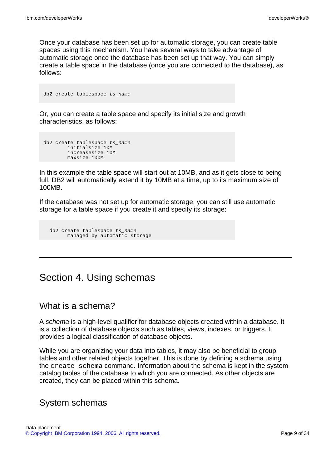Once your database has been set up for automatic storage, you can create table spaces using this mechanism. You have several ways to take advantage of automatic storage once the database has been set up that way. You can simply create a table space in the database (once you are connected to the database), as follows:

```
db2 create tablespace ts_name
```
Or, you can create a table space and specify its initial size and growth characteristics, as follows:

```
db2 create tablespace ts_name
        initialsize 10M
        increasesize 10M
       maxsize 100M
```
In this example the table space will start out at 10MB, and as it gets close to being full, DB2 will automatically extend it by 10MB at a time, up to its maximum size of 100MB.

If the database was not set up for automatic storage, you can still use automatic storage for a table space if you create it and specify its storage:

```
db2 create tablespace ts_name
     managed by automatic storage
```
# Section 4. Using schemas

### What is a schema?

A schema is a high-level qualifier for database objects created within a database. It is a collection of database objects such as tables, views, indexes, or triggers. It provides a logical classification of database objects.

While you are organizing your data into tables, it may also be beneficial to group tables and other related objects together. This is done by defining a schema using the create schema command. Information about the schema is kept in the system catalog tables of the database to which you are connected. As other objects are created, they can be placed within this schema.

### System schemas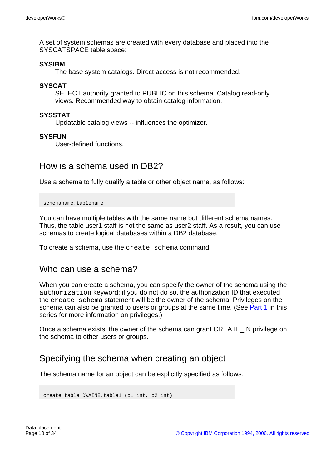A set of system schemas are created with every database and placed into the SYSCATSPACE table space:

#### **SYSIBM**

The base system catalogs. Direct access is not recommended.

#### **SYSCAT**

SELECT authority granted to PUBLIC on this schema. Catalog read-only views. Recommended way to obtain catalog information.

#### **SYSSTAT**

Updatable catalog views -- influences the optimizer.

#### **SYSFUN**

User-defined functions.

## How is a schema used in DB2?

Use a schema to fully qualify a table or other object name, as follows:

schemaname.tablename

You can have multiple tables with the same name but different schema names. Thus, the table user1.staff is not the same as user2.staff. As a result, you can use schemas to create logical databases within a DB2 database.

To create a schema, use the create schema command.

### Who can use a schema?

When you can create a schema, you can specify the owner of the schema using the authorization keyword; if you do not do so, the authorization ID that executed the create schema statement will be the owner of the schema. Privileges on the schema can also be granted to users or groups at the same time. (See [Part 1](http://www6.software.ibm.com/reg/devworks/dw-db2-cert7311-i?S_TACT=103AMW11&S_CMP=db2-cert7312) in this series for more information on privileges.)

Once a schema exists, the owner of the schema can grant CREATE\_IN privilege on the schema to other users or groups.

# Specifying the schema when creating an object

The schema name for an object can be explicitly specified as follows:

```
create table DWAINE.table1 (c1 int, c2 int)
```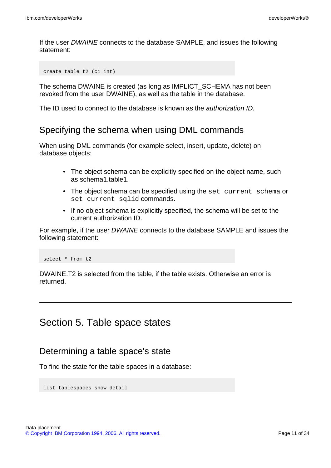If the user DWAINE connects to the database SAMPLE, and issues the following statement:

create table t2 (c1 int)

The schema DWAINE is created (as long as IMPLICT\_SCHEMA has not been revoked from the user DWAINE), as well as the table in the database.

The ID used to connect to the database is known as the authorization ID.

### Specifying the schema when using DML commands

When using DML commands (for example select, insert, update, delete) on database objects:

- The object schema can be explicitly specified on the object name, such as schema1.table1.
- The object schema can be specified using the set current schema or set current sqlid commands.
- If no object schema is explicitly specified, the schema will be set to the current authorization ID.

For example, if the user DWAINE connects to the database SAMPLE and issues the following statement:

select \* from t2

DWAINE.T2 is selected from the table, if the table exists. Otherwise an error is returned.

# Section 5. Table space states

### Determining a table space's state

To find the state for the table spaces in a database:

list tablespaces show detail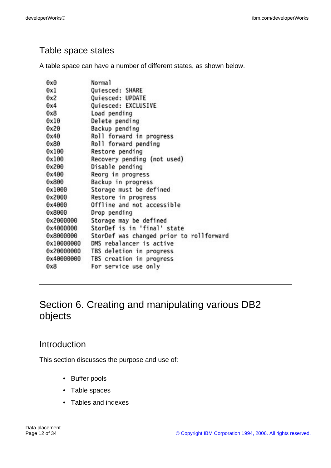# Table space states

A table space can have a number of different states, as shown below.

| 0x0        | Normal                                   |
|------------|------------------------------------------|
| 0x1        | Quiesced: SHARE                          |
| 0x2        | Quiesced: UPDATE                         |
| 0x4        | Quiesced: EXCLUSIVE                      |
| 0x8        | Load pending                             |
| 0x10       | Delete pending                           |
| 0x20       | Backup pending                           |
| 0x40       | Roll forward in progress                 |
| 0x80       | Roll forward pending                     |
| 0x100      | Restore pending                          |
| 0x100      | Recovery pending (not used)              |
| 0x200      | Disable pending                          |
| 0x400      | Reorg in progress                        |
| 0x800      | Backup in progress                       |
| 0x1000     | Storage must be defined                  |
| 0x2000     | Restore in progress                      |
| 0x4000     | Offline and not accessible               |
| 0x8000     | Drop pending                             |
| 0x2000000  | Storage may be defined                   |
| 0x4000000  | StorDef is in 'final' state              |
| 0x8000000  | StorDef was changed prior to rollforward |
| 0x10000000 | DMS rebalancer is active                 |
| 0x20000000 | TBS deletion in progress                 |
| 0x40000000 | TBS creation in progress                 |
| 0x8        | For service use only                     |

# Section 6. Creating and manipulating various DB2 objects

# Introduction

This section discusses the purpose and use of:

- Buffer pools
- Table spaces
- Tables and indexes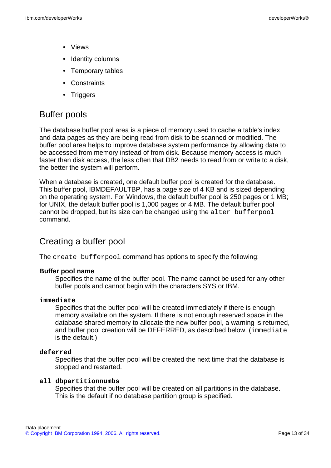- Views
- Identity columns
- Temporary tables
- **Constraints**
- Triggers

# Buffer pools

The database buffer pool area is a piece of memory used to cache a table's index and data pages as they are being read from disk to be scanned or modified. The buffer pool area helps to improve database system performance by allowing data to be accessed from memory instead of from disk. Because memory access is much faster than disk access, the less often that DB2 needs to read from or write to a disk, the better the system will perform.

When a database is created, one default buffer pool is created for the database. This buffer pool, IBMDEFAULTBP, has a page size of 4 KB and is sized depending on the operating system. For Windows, the default buffer pool is 250 pages or 1 MB; for UNIX, the default buffer pool is 1,000 pages or 4 MB. The default buffer pool cannot be dropped, but its size can be changed using the alter bufferpool command.

# Creating a buffer pool

The create bufferpool command has options to specify the following:

#### **Buffer pool name**

Specifies the name of the buffer pool. The name cannot be used for any other buffer pools and cannot begin with the characters SYS or IBM.

#### **immediate**

Specifies that the buffer pool will be created immediately if there is enough memory available on the system. If there is not enough reserved space in the database shared memory to allocate the new buffer pool, a warning is returned, and buffer pool creation will be DEFERRED, as described below. (immediate is the default.)

#### **deferred**

Specifies that the buffer pool will be created the next time that the database is stopped and restarted.

#### **all dbpartitionnumbs**

Specifies that the buffer pool will be created on all partitions in the database. This is the default if no database partition group is specified.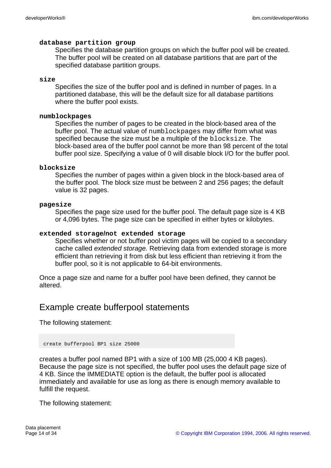#### **database partition group**

Specifies the database partition groups on which the buffer pool will be created. The buffer pool will be created on all database partitions that are part of the specified database partition groups.

#### **size**

Specifies the size of the buffer pool and is defined in number of pages. In a partitioned database, this will be the default size for all database partitions where the buffer pool exists.

#### **numblockpages**

Specifies the number of pages to be created in the block-based area of the buffer pool. The actual value of numblockpages may differ from what was specified because the size must be a multiple of the blocksize. The block-based area of the buffer pool cannot be more than 98 percent of the total buffer pool size. Specifying a value of 0 will disable block I/O for the buffer pool.

#### **blocksize**

Specifies the number of pages within a given block in the block-based area of the buffer pool. The block size must be between 2 and 256 pages; the default value is 32 pages.

#### **pagesize**

Specifies the page size used for the buffer pool. The default page size is 4 KB or 4,096 bytes. The page size can be specified in either bytes or kilobytes.

#### **extended storage/not extended storage**

Specifies whether or not buffer pool victim pages will be copied to a secondary cache called extended storage. Retrieving data from extended storage is more efficient than retrieving it from disk but less efficient than retrieving it from the buffer pool, so it is not applicable to 64-bit environments.

Once a page size and name for a buffer pool have been defined, they cannot be altered.

### Example create bufferpool statements

The following statement:

create bufferpool BP1 size 25000

creates a buffer pool named BP1 with a size of 100 MB (25,000 4 KB pages). Because the page size is not specified, the buffer pool uses the default page size of 4 KB. Since the IMMEDIATE option is the default, the buffer pool is allocated immediately and available for use as long as there is enough memory available to fulfill the request.

The following statement: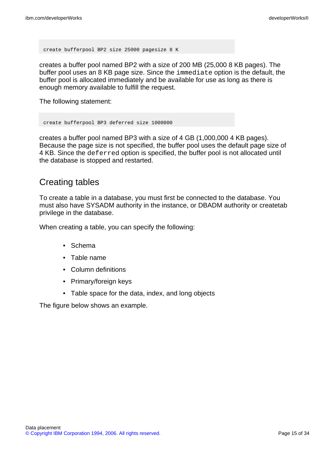create bufferpool BP2 size 25000 pagesize 8 K

creates a buffer pool named BP2 with a size of 200 MB (25,000 8 KB pages). The buffer pool uses an 8 KB page size. Since the immediate option is the default, the buffer pool is allocated immediately and be available for use as long as there is enough memory available to fulfill the request.

The following statement:

create bufferpool BP3 deferred size 1000000

creates a buffer pool named BP3 with a size of 4 GB (1,000,000 4 KB pages). Because the page size is not specified, the buffer pool uses the default page size of 4 KB. Since the deferred option is specified, the buffer pool is not allocated until the database is stopped and restarted.

# Creating tables

To create a table in a database, you must first be connected to the database. You must also have SYSADM authority in the instance, or DBADM authority or createtab privilege in the database.

When creating a table, you can specify the following:

- Schema
- Table name
- Column definitions
- Primary/foreign keys
- Table space for the data, index, and long objects

The figure below shows an example.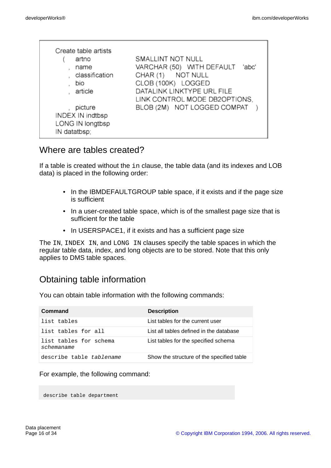| Create table artists |                                    |
|----------------------|------------------------------------|
|                      | SMALLINT NOT NULL                  |
| artno                |                                    |
| name                 | VARCHAR (50) WITH DEFAULT<br>'abc' |
| classification       | CHAR (1) NOT NULL                  |
| bio                  | CLOB (100K) LOGGED                 |
| article              | DATALINK LINKTYPE URL FILE         |
|                      | LINK CONTROL MODE DB2OPTIONS.      |
| picture              | BLOB (2M) NOT LOGGED COMPAT        |
| INDEX IN indtbsp     |                                    |
| LONG IN longtbsp     |                                    |
|                      |                                    |
| IN datatbsp;         |                                    |

### Where are tables created?

If a table is created without the in clause, the table data (and its indexes and LOB data) is placed in the following order:

- In the IBMDEFAULTGROUP table space, if it exists and if the page size is sufficient
- In a user-created table space, which is of the smallest page size that is sufficient for the table
- In USERSPACE1, if it exists and has a sufficient page size

The IN, INDEX IN, and LONG IN clauses specify the table spaces in which the regular table data, index, and long objects are to be stored. Note that this only applies to DMS table spaces.

# Obtaining table information

You can obtain table information with the following commands:

| Command                              | <b>Description</b>                        |
|--------------------------------------|-------------------------------------------|
| list tables                          | List tables for the current user          |
| list tables for all                  | List all tables defined in the database   |
| list tables for schema<br>schemaname | List tables for the specified schema      |
| describe table tablename             | Show the structure of the specified table |

For example, the following command:

describe table department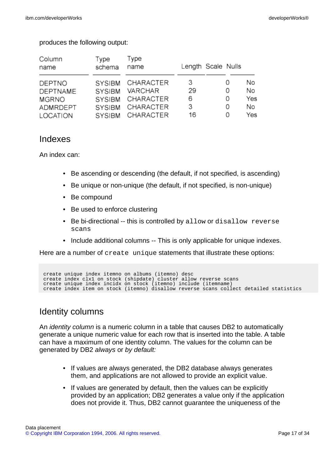| Column<br>name | Type<br>schema | Type<br>name | Length Scale Nulls |   |     |
|----------------|----------------|--------------|--------------------|---|-----|
| DEPTNO         | <b>SYSIBM</b>  | CHARACTER    | 3                  | 0 | No  |
| DEPTNAME       | <b>SYSIBM</b>  | VARCHAR      | 29                 | 0 | No  |
| MGRNO          | <b>SYSIBM</b>  | CHARACTER    | 6                  | 0 | Yes |
| ADMRDEPT       | <b>SYSIBM</b>  | CHARACTER    | 3                  | 0 | No  |
| LOCATION       | <b>SYSIBM</b>  | CHARACTER    | 16                 | 0 | Yes |

#### produces the following output:

### Indexes

An index can:

- Be ascending or descending (the default, if not specified, is ascending)
- Be unique or non-unique (the default, if not specified, is non-unique)
- Be compound
- Be used to enforce clustering
- Be bi-directional -- this is controlled by allow or disallow reverse scans
- Include additional columns -- This is only applicable for unique indexes.

Here are a number of create unique statements that illustrate these options:

create unique index itemno on albums (itemno) desc create index clx1 on stock (shipdate) cluster allow reverse scans create unique index incidx on stock (itemno) include (itemname) create index item on stock (itemno) disallow reverse scans collect detailed statistics

# Identity columns

An identity column is a numeric column in a table that causes DB2 to automatically generate a unique numeric value for each row that is inserted into the table. A table can have a maximum of one identity column. The values for the column can be generated by DB2 always or by default:

- If values are always generated, the DB2 database always generates them, and applications are not allowed to provide an explicit value.
- If values are generated by default, then the values can be explicitly provided by an application; DB2 generates a value only if the application does not provide it. Thus, DB2 cannot guarantee the uniqueness of the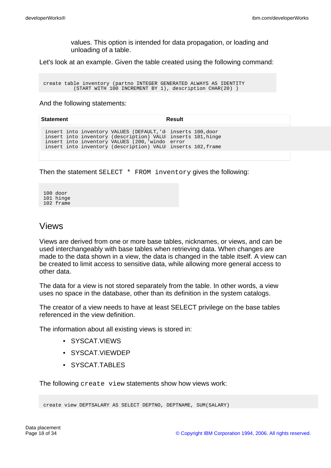values. This option is intended for data propagation, or loading and unloading of a table.

Let's look at an example. Given the table created using the following command:

create table inventory (partno INTEGER GENERATED ALWAYS AS IDENTITY (START WITH 100 INCREMENT BY 1), description CHAR(20) )

And the following statements:

| <b>Statement</b> |                                                                                                                                                                                                                                            | Result |
|------------------|--------------------------------------------------------------------------------------------------------------------------------------------------------------------------------------------------------------------------------------------|--------|
|                  | insert into inventory VALUES (DEFAULT, d inserts 100, door<br>insert into inventory (description) VALU inserts 101, hinge<br>insert into inventory VALUES (200, windo error<br>insert into inventory (description) VALU inserts 102, frame |        |

Then the statement SELECT \* FROM inventory gives the following:

100 door 101 hinge 102 frame

## Views

Views are derived from one or more base tables, nicknames, or views, and can be used interchangeably with base tables when retrieving data. When changes are made to the data shown in a view, the data is changed in the table itself. A view can be created to limit access to sensitive data, while allowing more general access to other data.

The data for a view is not stored separately from the table. In other words, a view uses no space in the database, other than its definition in the system catalogs.

The creator of a view needs to have at least SELECT privilege on the base tables referenced in the view definition.

The information about all existing views is stored in:

- SYSCAT.VIEWS
- SYSCAT.VIEWDEP
- SYSCAT.TABLES

The following create view statements show how views work:

create view DEPTSALARY AS SELECT DEPTNO, DEPTNAME, SUM(SALARY)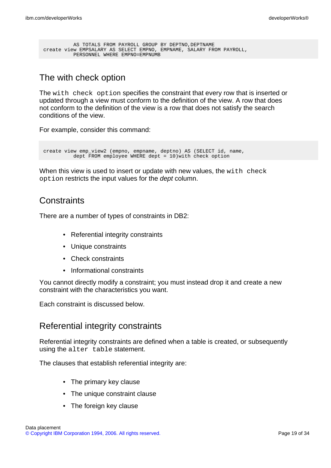AS TOTALS FROM PAYROLL GROUP BY DEPTNO,DEPTNAME create view EMPSALARY AS SELECT EMPNO, EMPNAME, SALARY FROM PAYROLL, PERSONNEL WHERE EMPNO=EMPNUMB

# The with check option

The with check option specifies the constraint that every row that is inserted or updated through a view must conform to the definition of the view. A row that does not conform to the definition of the view is a row that does not satisfy the search conditions of the view.

For example, consider this command:

```
create view emp_view2 (empno, empname, deptno) AS (SELECT id, name,
          dept FROM employee WHERE dept = 10) with check option
```
When this view is used to insert or update with new values, the with check option restricts the input values for the dept column.

### **Constraints**

There are a number of types of constraints in DB2:

- Referential integrity constraints
- Unique constraints
- Check constraints
- Informational constraints

You cannot directly modify a constraint; you must instead drop it and create a new constraint with the characteristics you want.

Each constraint is discussed below.

### <span id="page-18-0"></span>Referential integrity constraints

Referential integrity constraints are defined when a table is created, or subsequently using the alter table statement.

The clauses that establish referential integrity are:

- The primary key clause
- The unique constraint clause
- The foreign key clause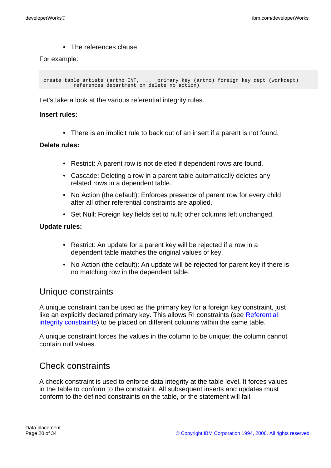• The references clause

#### For example:

create table artists (artno INT, ... primary key (artno) foreign key dept (workdept) references department on delete no action)

Let's take a look at the various referential integrity rules.

#### **Insert rules:**

• There is an implicit rule to back out of an insert if a parent is not found.

#### **Delete rules:**

- Restrict: A parent row is not deleted if dependent rows are found.
- Cascade: Deleting a row in a parent table automatically deletes any related rows in a dependent table.
- No Action (the default): Enforces presence of parent row for every child after all other referential constraints are applied.
- Set Null: Foreign key fields set to null; other columns left unchanged.

#### **Update rules:**

- Restrict: An update for a parent key will be rejected if a row in a dependent table matches the original values of key.
- No Action (the default): An update will be rejected for parent key if there is no matching row in the dependent table.

### Unique constraints

A unique constraint can be used as the primary key for a foreign key constraint, just like an explicitly declared primary key. This allows RI constraints (see [Referential](#page-18-0) [integrity constraints](#page-18-0)) to be placed on different columns within the same table.

A unique constraint forces the values in the column to be unique; the column cannot contain null values.

### Check constraints

A check constraint is used to enforce data integrity at the table level. It forces values in the table to conform to the constraint. All subsequent inserts and updates must conform to the defined constraints on the table, or the statement will fail.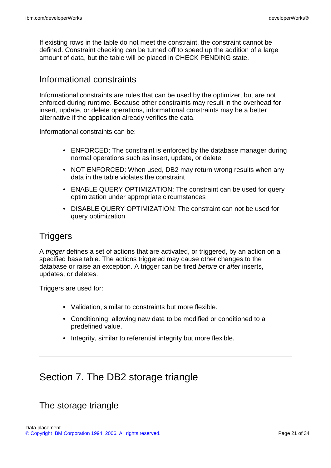If existing rows in the table do not meet the constraint, the constraint cannot be defined. Constraint checking can be turned off to speed up the addition of a large amount of data, but the table will be placed in CHECK PENDING state.

### Informational constraints

Informational constraints are rules that can be used by the optimizer, but are not enforced during runtime. Because other constraints may result in the overhead for insert, update, or delete operations, informational constraints may be a better alternative if the application already verifies the data.

Informational constraints can be:

- ENFORCED: The constraint is enforced by the database manager during normal operations such as insert, update, or delete
- NOT ENFORCED: When used, DB2 may return wrong results when any data in the table violates the constraint
- ENABLE QUERY OPTIMIZATION: The constraint can be used for query optimization under appropriate circumstances
- DISABLE QUERY OPTIMIZATION: The constraint can not be used for query optimization

# **Triggers**

A trigger defines a set of actions that are activated, or triggered, by an action on a specified base table. The actions triggered may cause other changes to the database or raise an exception. A trigger can be fired before or after inserts, updates, or deletes.

Triggers are used for:

- Validation, similar to constraints but more flexible.
- Conditioning, allowing new data to be modified or conditioned to a predefined value.
- Integrity, similar to referential integrity but more flexible.

# Section 7. The DB2 storage triangle

# The storage triangle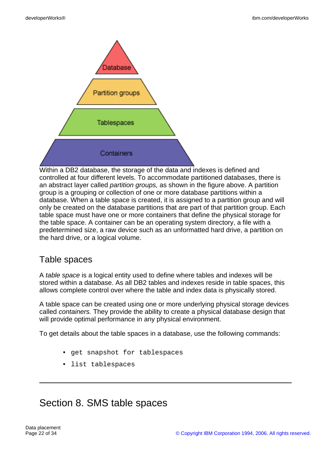

Within a DB2 database, the storage of the data and indexes is defined and controlled at four different levels. To accommodate partitioned databases, there is an abstract layer called partition groups, as shown in the figure above. A partition group is a grouping or collection of one or more database partitions within a database. When a table space is created, it is assigned to a partition group and will only be created on the database partitions that are part of that partition group. Each table space must have one or more containers that define the physical storage for the table space. A container can be an operating system directory, a file with a predetermined size, a raw device such as an unformatted hard drive, a partition on the hard drive, or a logical volume.

# Table spaces

A table space is a logical entity used to define where tables and indexes will be stored within a database. As all DB2 tables and indexes reside in table spaces, this allows complete control over where the table and index data is physically stored.

A table space can be created using one or more underlying physical storage devices called containers. They provide the ability to create a physical database design that will provide optimal performance in any physical environment.

To get details about the table spaces in a database, use the following commands:

- get snapshot for tablespaces
- list tablespaces

# <span id="page-21-0"></span>Section 8. SMS table spaces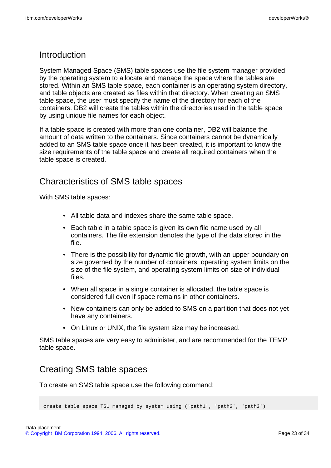### **Introduction**

System Managed Space (SMS) table spaces use the file system manager provided by the operating system to allocate and manage the space where the tables are stored. Within an SMS table space, each container is an operating system directory, and table objects are created as files within that directory. When creating an SMS table space, the user must specify the name of the directory for each of the containers. DB2 will create the tables within the directories used in the table space by using unique file names for each object.

If a table space is created with more than one container, DB2 will balance the amount of data written to the containers. Since containers cannot be dynamically added to an SMS table space once it has been created, it is important to know the size requirements of the table space and create all required containers when the table space is created.

# Characteristics of SMS table spaces

With SMS table spaces:

- All table data and indexes share the same table space.
- Each table in a table space is given its own file name used by all containers. The file extension denotes the type of the data stored in the file.
- There is the possibility for dynamic file growth, with an upper boundary on size governed by the number of containers, operating system limits on the size of the file system, and operating system limits on size of individual files.
- When all space in a single container is allocated, the table space is considered full even if space remains in other containers.
- New containers can only be added to SMS on a partition that does not yet have any containers.
- On Linux or UNIX, the file system size may be increased.

SMS table spaces are very easy to administer, and are recommended for the TEMP table space.

# Creating SMS table spaces

To create an SMS table space use the following command:

create table space TS1 managed by system using ('path1', 'path2', 'path3')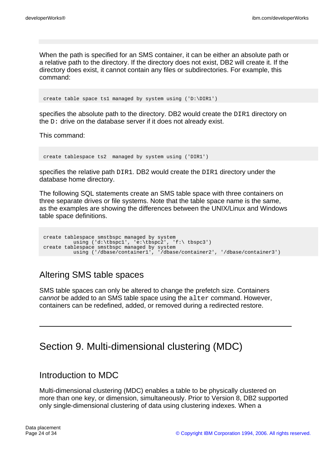When the path is specified for an SMS container, it can be either an absolute path or a relative path to the directory. If the directory does not exist, DB2 will create it. If the directory does exist, it cannot contain any files or subdirectories. For example, this command:

create table space ts1 managed by system using ('D:\DIR1')

specifies the absolute path to the directory. DB2 would create the DIR1 directory on the D: drive on the database server if it does not already exist.

This command:

create tablespace ts2 managed by system using ('DIR1')

specifies the relative path DIR1. DB2 would create the DIR1 directory under the database home directory.

The following SQL statements create an SMS table space with three containers on three separate drives or file systems. Note that the table space name is the same, as the examples are showing the differences between the UNIX/Linux and Windows table space definitions.

```
create tablespace smstbspc managed by system
         using ('d:\tbspc1', 'e:\tbspc2', 'f:\ tbspc3')
create tablespace smstbspc managed by system
         using ('/dbase/container1', '/dbase/container2', '/dbase/container3')
```
# Altering SMS table spaces

SMS table spaces can only be altered to change the prefetch size. Containers cannot be added to an SMS table space using the  $\alpha$ lter command. However, containers can be redefined, added, or removed during a redirected restore.

# Section 9. Multi-dimensional clustering (MDC)

### Introduction to MDC

Multi-dimensional clustering (MDC) enables a table to be physically clustered on more than one key, or dimension, simultaneously. Prior to Version 8, DB2 supported only single-dimensional clustering of data using clustering indexes. When a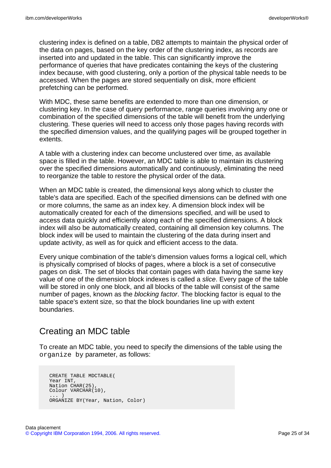clustering index is defined on a table, DB2 attempts to maintain the physical order of the data on pages, based on the key order of the clustering index, as records are inserted into and updated in the table. This can significantly improve the performance of queries that have predicates containing the keys of the clustering index because, with good clustering, only a portion of the physical table needs to be accessed. When the pages are stored sequentially on disk, more efficient prefetching can be performed.

With MDC, these same benefits are extended to more than one dimension, or clustering key. In the case of query performance, range queries involving any one or combination of the specified dimensions of the table will benefit from the underlying clustering. These queries will need to access only those pages having records with the specified dimension values, and the qualifying pages will be grouped together in extents.

A table with a clustering index can become unclustered over time, as available space is filled in the table. However, an MDC table is able to maintain its clustering over the specified dimensions automatically and continuously, eliminating the need to reorganize the table to restore the physical order of the data.

When an MDC table is created, the dimensional keys along which to cluster the table's data are specified. Each of the specified dimensions can be defined with one or more columns, the same as an index key. A dimension block index will be automatically created for each of the dimensions specified, and will be used to access data quickly and efficiently along each of the specified dimensions. A block index will also be automatically created, containing all dimension key columns. The block index will be used to maintain the clustering of the data during insert and update activity, as well as for quick and efficient access to the data.

Every unique combination of the table's dimension values forms a logical cell, which is physically comprised of blocks of pages, where a block is a set of consecutive pages on disk. The set of blocks that contain pages with data having the same key value of one of the dimension block indexes is called a slice. Every page of the table will be stored in only one block, and all blocks of the table will consist of the same number of pages, known as the blocking factor. The blocking factor is equal to the table space's extent size, so that the block boundaries line up with extent boundaries.

# Creating an MDC table

To create an MDC table, you need to specify the dimensions of the table using the organize by parameter, as follows:

```
CREATE TABLE MDCTABLE(
Year INT,
Nation CHAR(25),
Colour VARCHAR(10),
... )
ORGANIZE BY(Year, Nation, Color)
```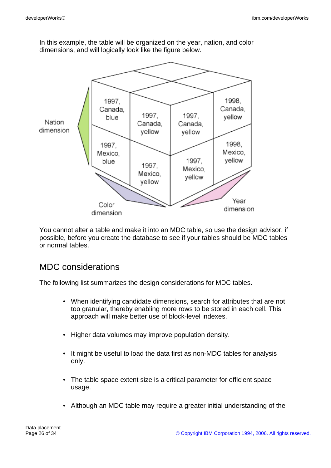In this example, the table will be organized on the year, nation, and color dimensions, and will logically look like the figure below.



You cannot alter a table and make it into an MDC table, so use the design advisor, if possible, before you create the database to see if your tables should be MDC tables or normal tables.

# MDC considerations

The following list summarizes the design considerations for MDC tables.

- When identifying candidate dimensions, search for attributes that are not too granular, thereby enabling more rows to be stored in each cell. This approach will make better use of block-level indexes.
- Higher data volumes may improve population density.
- It might be useful to load the data first as non-MDC tables for analysis only.
- The table space extent size is a critical parameter for efficient space usage.
- Although an MDC table may require a greater initial understanding of the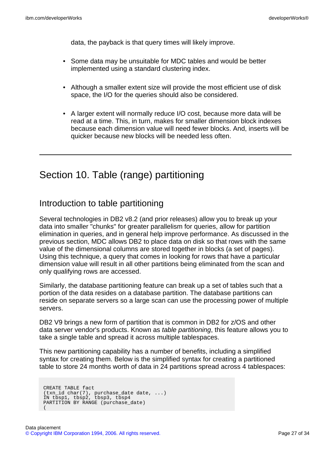data, the payback is that query times will likely improve.

- Some data may be unsuitable for MDC tables and would be better implemented using a standard clustering index.
- Although a smaller extent size will provide the most efficient use of disk space, the I/O for the queries should also be considered.
- A larger extent will normally reduce I/O cost, because more data will be read at a time. This, in turn, makes for smaller dimension block indexes because each dimension value will need fewer blocks. And, inserts will be quicker because new blocks will be needed less often.

# Section 10. Table (range) partitioning

# Introduction to table partitioning

Several technologies in DB2 v8.2 (and prior releases) allow you to break up your data into smaller "chunks" for greater parallelism for queries, allow for partition elimination in queries, and in general help improve performance. As discussed in the previous section, MDC allows DB2 to place data on disk so that rows with the same value of the dimensional columns are stored together in blocks (a set of pages). Using this technique, a query that comes in looking for rows that have a particular dimension value will result in all other partitions being eliminated from the scan and only qualifying rows are accessed.

Similarly, the database partitioning feature can break up a set of tables such that a portion of the data resides on a database partition. The database partitions can reside on separate servers so a large scan can use the processing power of multiple servers.

DB2 V9 brings a new form of partition that is common in DB2 for z/OS and other data server vendor's products. Known as table partitioning, this feature allows you to take a single table and spread it across multiple tablespaces.

This new partitioning capability has a number of benefits, including a simplified syntax for creating them. Below is the simplified syntax for creating a partitioned table to store 24 months worth of data in 24 partitions spread across 4 tablespaces:

```
CREATE TABLE fact
(txn_id char(7), purchase_date date, ...)
IN tbsp1, tbsp2, tbsp3, tbsp4
PARTITION BY RANGE (purchase_date)
(
```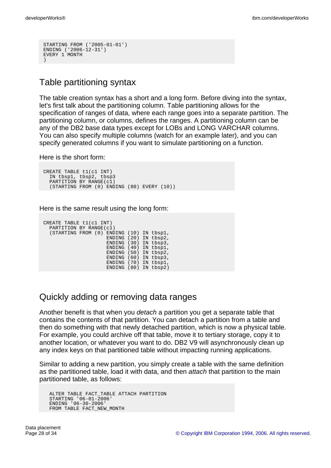```
STARTING FROM ('2005-01-01')
ENDING ('2006-12-31')
EVERY 1 MONTH
)
```
# Table partitioning syntax

The table creation syntax has a short and a long form. Before diving into the syntax, let's first talk about the partitioning column. Table partitioning allows for the specification of ranges of data, where each range goes into a separate partition. The partitioning column, or columns, defines the ranges. A partitioning column can be any of the DB2 base data types except for LOBs and LONG VARCHAR columns. You can also specify multiple columns (watch for an example later), and you can specify generated columns if you want to simulate partitioning on a function.

Here is the short form:

CREATE TABLE t1(c1 INT) IN tbsp1, tbsp2, tbsp3 PARTITION BY RANGE(c1) (STARTING FROM (0) ENDING (80) EVERY (10))

Here is the same result using the long form:

| CREATE TABLE t1(c1 INT)<br>PARTITION BY RANGE(c1) |                       |  |  |
|---------------------------------------------------|-----------------------|--|--|
| (STARTING FROM (0) ENDING (10) IN tbsp1,          |                       |  |  |
|                                                   | ENDING (20) IN tbsp2, |  |  |
|                                                   | ENDING (30) IN tbsp3, |  |  |
|                                                   | ENDING (40) IN tbsp1, |  |  |
|                                                   | ENDING (50) IN tbsp2, |  |  |
|                                                   | ENDING (60) IN tbsp3, |  |  |
|                                                   | ENDING (70) IN tbsp1, |  |  |
|                                                   | ENDING (80) IN tbsp2) |  |  |

# Quickly adding or removing data ranges

Another benefit is that when you detach a partition you get a separate table that contains the contents of that partition. You can detach a partition from a table and then do something with that newly detached partition, which is now a physical table. For example, you could archive off that table, move it to tertiary storage, copy it to another location, or whatever you want to do. DB2 V9 will asynchronously clean up any index keys on that partitioned table without impacting running applications.

Similar to adding a new partition, you simply create a table with the same definition as the partitioned table, load it with data, and then *attach* that partition to the main partitioned table, as follows:

```
ALTER TABLE FACT_TABLE ATTACH PARTITION
STARTING '06-01-2006'
ENDING '06-30-2006'
FROM TABLE FACT_NEW_MONTH
```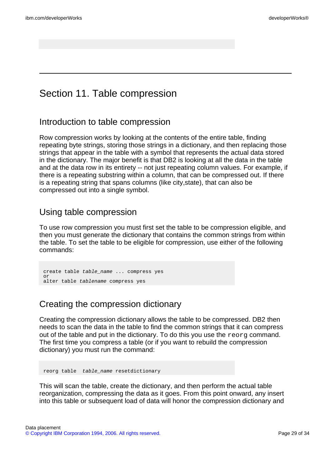# Section 11. Table compression

### Introduction to table compression

Row compression works by looking at the contents of the entire table, finding repeating byte strings, storing those strings in a dictionary, and then replacing those strings that appear in the table with a symbol that represents the actual data stored in the dictionary. The major benefit is that DB2 is looking at all the data in the table and at the data row in its entirety -- not just repeating column values. For example, if there is a repeating substring within a column, that can be compressed out. If there is a repeating string that spans columns (like city,state), that can also be compressed out into a single symbol.

## Using table compression

To use row compression you must first set the table to be compression eligible, and then you must generate the dictionary that contains the common strings from within the table. To set the table to be eligible for compression, use either of the following commands:

```
create table table_name ... compress yes
or
alter table tablename compress yes
```
# Creating the compression dictionary

Creating the compression dictionary allows the table to be compressed. DB2 then needs to scan the data in the table to find the common strings that it can compress out of the table and put in the dictionary. To do this you use the reorg command. The first time you compress a table (or if you want to rebuild the compression dictionary) you must run the command:

reorg table table\_name resetdictionary

This will scan the table, create the dictionary, and then perform the actual table reorganization, compressing the data as it goes. From this point onward, any insert into this table or subsequent load of data will honor the compression dictionary and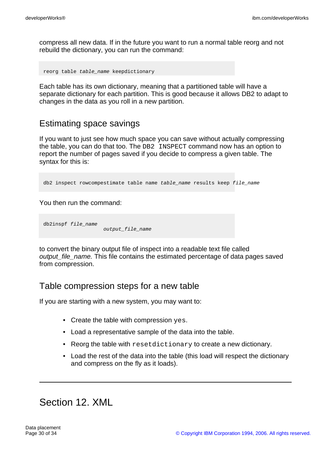compress all new data. If in the future you want to run a normal table reorg and not rebuild the dictionary, you can run the command:

reorg table table\_name keepdictionary

Each table has its own dictionary, meaning that a partitioned table will have a separate dictionary for each partition. This is good because it allows DB2 to adapt to changes in the data as you roll in a new partition.

## Estimating space savings

If you want to just see how much space you can save without actually compressing the table, you can do that too. The DB2 INSPECT command now has an option to report the number of pages saved if you decide to compress a given table. The syntax for this is:

db2 inspect rowcompestimate table name table\_name results keep file\_name

You then run the command:

```
db2inspf file_name
                    output_file_name
```
to convert the binary output file of inspect into a readable text file called output\_file\_name. This file contains the estimated percentage of data pages saved from compression.

# Table compression steps for a new table

If you are starting with a new system, you may want to:

- Create the table with compression yes.
- Load a representative sample of the data into the table.
- Reorg the table with resetdictionary to create a new dictionary.
- Load the rest of the data into the table (this load will respect the dictionary and compress on the fly as it loads).

# Section 12. XML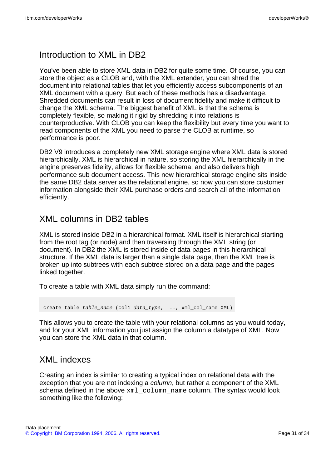# Introduction to XML in DB2

You've been able to store XML data in DB2 for quite some time. Of course, you can store the object as a CLOB and, with the XML extender, you can shred the document into relational tables that let you efficiently access subcomponents of an XML document with a query. But each of these methods has a disadvantage. Shredded documents can result in loss of document fidelity and make it difficult to change the XML schema. The biggest benefit of XML is that the schema is completely flexible, so making it rigid by shredding it into relations is counterproductive. With CLOB you can keep the flexibility but every time you want to read components of the XML you need to parse the CLOB at runtime, so performance is poor.

DB2 V9 introduces a completely new XML storage engine where XML data is stored hierarchically. XML is hierarchical in nature, so storing the XML hierarchically in the engine preserves fidelity, allows for flexible schema, and also delivers high performance sub document access. This new hierarchical storage engine sits inside the same DB2 data server as the relational engine, so now you can store customer information alongside their XML purchase orders and search all of the information efficiently.

# XML columns in DB2 tables

XML is stored inside DB2 in a hierarchical format. XML itself is hierarchical starting from the root tag (or node) and then traversing through the XML string (or document). In DB2 the XML is stored inside of data pages in this hierarchical structure. If the XML data is larger than a single data page, then the XML tree is broken up into subtrees with each subtree stored on a data page and the pages linked together.

To create a table with XML data simply run the command:

```
create table table_name (col1 data_type, ..., xml_col_name XML)
```
This allows you to create the table with your relational columns as you would today, and for your XML information you just assign the column a datatype of XML. Now you can store the XML data in that column.

### XML indexes

Creating an index is similar to creating a typical index on relational data with the exception that you are not indexing a *column*, but rather a component of the XML schema defined in the above  $xml\_column\_name$  column. The syntax would look something like the following: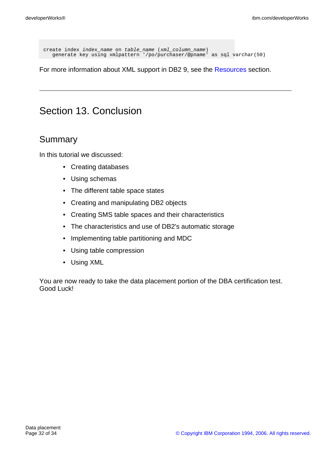```
create index index_name on table_name (xml_column_name)
 generate key using xmlpattern '/po/purchaser/@pname' as sql varchar(50)
```
For more information about XML support in DB2 9, see the [Resources](#page-32-1) section.

# Section 13. Conclusion

## Summary

In this tutorial we discussed:

- Creating databases
- Using schemas
- The different table space states
- Creating and manipulating DB2 objects
- Creating SMS table spaces and their characteristics
- The characteristics and use of DB2's automatic storage
- Implementing table partitioning and MDC
- Using table compression
- Using XML

You are now ready to take the data placement portion of the DBA certification test. Good Luck!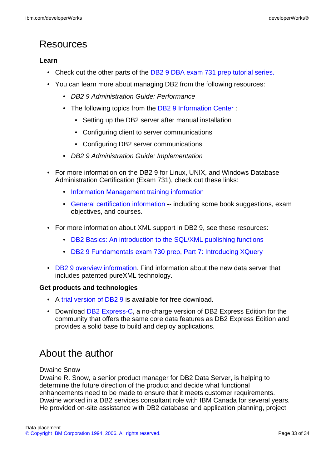# <span id="page-32-1"></span>Resources

#### **Learn**

- Check out the other parts of the [DB2 9 DBA exam 731 prep tutorial series.](http://www.ibm.com/developerworks/offers/lp/db2cert/db2-cert731.html?S_TACT=105AGX19&S_CMP=db2cert)
- You can learn more about managing DB2 from the following resources:
	- DB2 9 Administration Guide: Performance
	- The following topics from the [DB2 9 Information Center](http://publib.boulder.ibm.com/infocenter/db2luw/v9/) :
		- Setting up the DB2 server after manual installation
		- Configuring client to server communications
		- Configuring DB2 server communications
	- DB2 9 Administration Guide: Implementation
- For more information on the DB2 9 for Linux, UNIX, and Windows Database Administration Certification (Exam 731), check out these links:
	- [Information Management training information](http://www-4.ibm.com/software/data/db2/skills/)
	- [General certification information](http://www-03.ibm.com/certify/certs/dm_index.shtml) -- including some book suggestions, exam objectives, and courses.
- For more information about XML support in DB2 9, see these resources:
	- [DB2 Basics: An introduction to the SQL/XML publishing functions]( http://www.ibm.com/developerworks/db2/library/techarticle/dm-0511melnyk/index.html)
	- [DB2 9 Fundamentals exam 730 prep, Part 7: Introducing XQuery](http://www.ibm.com/developerworks/edu/dm-dw-db2-cert7307.html?S_TACT=105AGX19&S_CMP=db2cert)
- [DB2 9 overview information.](http://www-306.ibm.com/software/data/db2/v9/pr.html) Find information about the new data server that includes patented pureXML technology.

#### **Get products and technologies**

- A [trial version of DB2 9](http://www.ibm.com/developerworks/downloads/im/udb/?S_TACT=105AGX19&S_CMP=db2cert) is available for free download.
- Download [DB2 Express-C,](http://www.ibm.com/developerworks/downloads/im/udbexp/index.html?S_TACT=105AGX19&S_CMP=db2cert) a no-charge version of DB2 Express Edition for the community that offers the same core data features as DB2 Express Edition and provides a solid base to build and deploy applications.

# <span id="page-32-0"></span>About the author

#### Dwaine Snow

Dwaine R. Snow, a senior product manager for DB2 Data Server, is helping to determine the future direction of the product and decide what functional enhancements need to be made to ensure that it meets customer requirements. Dwaine worked in a DB2 services consultant role with IBM Canada for several years. He provided on-site assistance with DB2 database and application planning, project